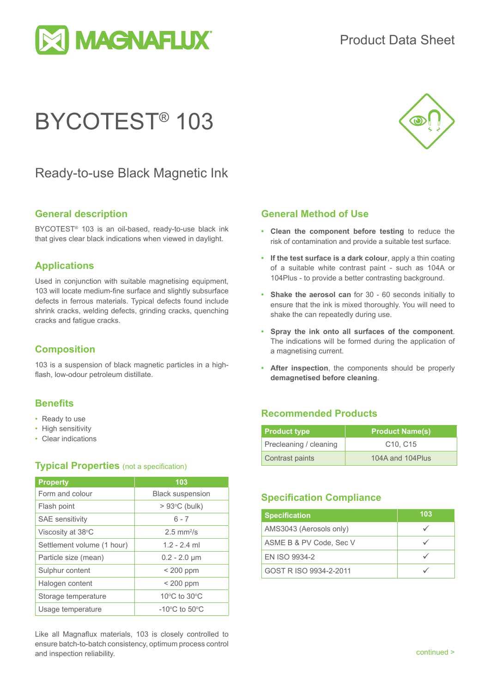

# BYCOTEST® 103



### Ready-to-use Black Magnetic Ink

#### **General description**

BYCOTEST® 103 is an oil-based, ready-to-use black ink that gives clear black indications when viewed in daylight.

#### **Applications**

Used in conjunction with suitable magnetising equipment, 103 will locate medium-fine surface and slightly subsurface defects in ferrous materials. Typical defects found include shrink cracks, welding defects, grinding cracks, quenching cracks and fatigue cracks.

#### **Composition**

103 is a suspension of black magnetic particles in a highflash, low-odour petroleum distillate.

#### **Benefits**

- Ready to use
- High sensitivity
- Clear indications

#### **Typical Properties** (not a specification)

| <b>Property</b>            | 103                                |  |
|----------------------------|------------------------------------|--|
| Form and colour            | <b>Black suspension</b>            |  |
| Flash point                | $> 93^{\circ}$ C (bulk)            |  |
| <b>SAE</b> sensitivity     | $6 - 7$                            |  |
| Viscosity at 38°C          | $2.5$ mm <sup>2</sup> /s           |  |
| Settlement volume (1 hour) | $1.2 - 2.4$ ml                     |  |
| Particle size (mean)       | $0.2 - 2.0 \mu m$                  |  |
| Sulphur content            | $< 200$ ppm                        |  |
| Halogen content            | $<$ 200 ppm                        |  |
| Storage temperature        | 10°C to 30°C                       |  |
| Usage temperature          | $-10^{\circ}$ C to 50 $^{\circ}$ C |  |

Like all Magnaflux materials, 103 is closely controlled to ensure batch-to-batch consistency, optimum process control and inspection reliability.

#### **General Method of Use**

- **• Clean the component before testing** to reduce the risk of contamination and provide a suitable test surface.
- **• If the test surface is a dark colour**, apply a thin coating of a suitable white contrast paint - such as 104A or 104Plus - to provide a better contrasting background.
- **• Shake the aerosol can** for 30 60 seconds initially to ensure that the ink is mixed thoroughly. You will need to shake the can repeatedly during use.
- **• Spray the ink onto all surfaces of the component**. The indications will be formed during the application of a magnetising current.
- After inspection, the components should be properly **demagnetised before cleaning**.

#### **Recommended Products**

| <b>Product type</b>    | <b>Product Name(s)</b>            |  |
|------------------------|-----------------------------------|--|
| Precleaning / cleaning | C <sub>10</sub> , C <sub>15</sub> |  |
| Contrast paints        | 104A and 104Plus                  |  |

#### **Specification Compliance**

| <b>Specification</b>    | 103 |
|-------------------------|-----|
| AMS3043 (Aerosols only) |     |
| ASME B & PV Code, Sec V |     |
| EN ISO 9934-2           |     |
| GOST R ISO 9934-2-2011  |     |